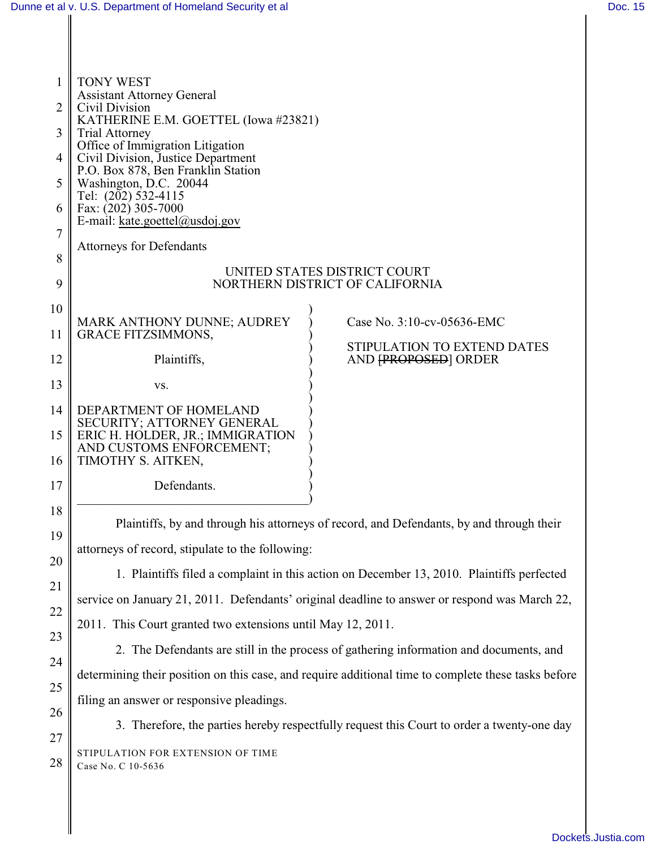19

20

21

22

23

24

25

| 1  | <b>TONY WEST</b>                                       |                                 |
|----|--------------------------------------------------------|---------------------------------|
|    | <b>Assistant Attorney General</b>                      |                                 |
| 2  | Civil Division<br>KATHERINE E.M. GOETTEL (Iowa #23821) |                                 |
| 3  | <b>Trial Attorney</b>                                  |                                 |
|    | Office of Immigration Litigation                       |                                 |
| 4  | Civil Division, Justice Department                     |                                 |
|    | P.O. Box 878, Ben Franklin Station                     |                                 |
| 5  | Washington, D.C. 20044                                 |                                 |
| 6  | Tel: (202) 532-4115<br>Fax: (202) 305-7000             |                                 |
|    | E-mail: kate.goettel@usdoj.gov                         |                                 |
| 7  |                                                        |                                 |
|    | <b>Attorneys for Defendants</b>                        |                                 |
| 8  |                                                        | UNITED STATES DISTRICT COURT    |
| 9  |                                                        | NORTHERN DISTRICT OF CALIFORNIA |
|    |                                                        |                                 |
| 10 |                                                        |                                 |
|    | MARK ANTHONY DUNNE; AUDREY                             | Case No. 3:10-cv-05636-EMC      |
| 11 | <b>GRACE FITZSIMMONS,</b>                              | STIPULATION TO EXTEND DATES     |
| 12 | Plaintiffs,                                            | AND FPROPOSED ORDER             |
|    |                                                        |                                 |
| 13 | VS.                                                    |                                 |
| 14 | DEPARTMENT OF HOMELAND                                 |                                 |
|    | SECURITY; ATTORNEY GENERAL                             |                                 |
| 15 | ERIC H. HOLDER, JR.; IMMIGRATION                       |                                 |
|    | AND CUSTOMS ENFORCEMENT;                               |                                 |
| 16 | TIMOTHY S. AITKEN,                                     |                                 |
| 17 | Defendants.                                            |                                 |
|    |                                                        |                                 |
| 18 |                                                        |                                 |
|    |                                                        |                                 |

Plaintiffs, by and through his attorneys of record, and Defendants, by and through their attorneys of record, stipulate to the following:

1. Plaintiffs filed a complaint in this action on December 13, 2010. Plaintiffs perfected service on January 21, 2011. Defendants' original deadline to answer or respond was March 22, 2011. This Court granted two extensions until May 12, 2011.

2. The Defendants are still in the process of gathering information and documents, and determining their position on this case, and require additional time to complete these tasks before filing an answer or responsive pleadings.

26 27 28 3. Therefore, the parties hereby respectfully request this Court to order a twenty-one day STIPULATION FOR EXTENSION OF TIME Case No. C 10-5636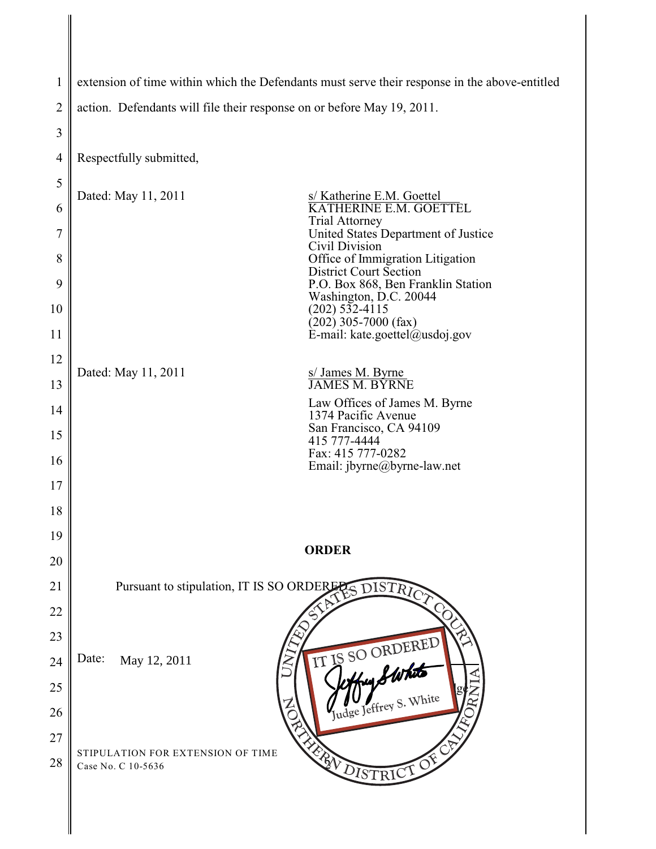| 1              | extension of time within which the Defendants must serve their response in the above-entitled |  |  |
|----------------|-----------------------------------------------------------------------------------------------|--|--|
| $\overline{2}$ | action. Defendants will file their response on or before May 19, 2011.                        |  |  |
| 3              |                                                                                               |  |  |
| 4              | Respectfully submitted,                                                                       |  |  |
| 5              | Dated: May 11, 2011<br>s/ Katherine E.M. Goettel                                              |  |  |
| 6              | KATHERINE E.M. GOETTEL<br><b>Trial Attorney</b>                                               |  |  |
| 7              | United States Department of Justice<br>Civil Division                                         |  |  |
| 8              | Office of Immigration Litigation<br><b>District Court Section</b>                             |  |  |
| 9              | P.O. Box 868, Ben Franklin Station<br>Washington, D.C. 20044                                  |  |  |
| 10             | $(202)$ 532-4115<br>$(202)$ 305-7000 (fax)                                                    |  |  |
| 11             | E-mail: kate.goettel@usdoj.gov                                                                |  |  |
| 12             | Dated: May 11, 2011<br>s/James M. Byrne<br>JAMES M. BYRNE                                     |  |  |
| 13             | Law Offices of James M. Byrne                                                                 |  |  |
| 14             | 1374 Pacific Avenue<br>San Francisco, CA 94109                                                |  |  |
| 15             | 415 777-4444<br>Fax: 415 777-0282                                                             |  |  |
| 16             | Email: jbyrne@byrne-law.net                                                                   |  |  |
| 17             |                                                                                               |  |  |
| 18<br>19       |                                                                                               |  |  |
| 20             | <b>ORDER</b>                                                                                  |  |  |
| 21             | Pursuant to stipulation, IT IS SO ORDERER                                                     |  |  |
| 22             | ES DISTRICT                                                                                   |  |  |
| 23             |                                                                                               |  |  |
| 24             | Date:<br>May 12, 2011                                                                         |  |  |
| 25             |                                                                                               |  |  |
| 26             | IT IS SO ORDERED                                                                              |  |  |
| 27             |                                                                                               |  |  |
| 28             | <b>EXPLOISTRICT OF</b><br>STIPULATION FOR EXTENSION OF TIME<br>Case No. C 10-5636             |  |  |